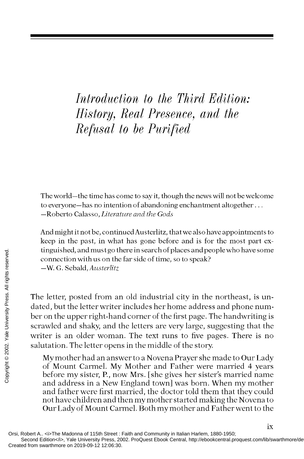*[Introduction to the Third Edition:](#page--1-0) History, Real Presence, and the Refusal to be Purified*

The world—the time has come to say it, though the news will not be welcome to everyone—has no intention of abandoning enchantment altogether... —Roberto Calasso, *Literature and the Gods*

And might it not be, continued Austerlitz, that we also have appointments to keep in the past, in what has gone before and is for the most part extinguished, and must go there in search of places and people who have some connection with us on the far side of time, so to speak? -W. G. *Sebald, Austerlitz*

The letter, posted from an old industrial city in the northeast, is undated, but the letter writer includes her home address and phone number on the upper right-hand corner of the first page. The handwriting is scrawled and shaky, and the letters are very large, suggesting that the writer is an older woman. The text runs to five pages. There is no salutation. The letter opens in the middle of the story. Created from swarthmore on 2019-09-12 12:06:30. Created from swarthmore on 2019-09-12 12:06:30. Created from swarthmore on 2019-09-12 12:06:30. Created from swarthmore on 2019-09-12 12:06:30. Created from swarthmore on 201

My mother had an answer to a Novena Prayer she made to Our Lady of Mount Carmel. My Mother and Father were married 4 years before my sister, P., now Mrs. [she gives her sister's married name and address in a New England town] was born. When my mother and father were first married, the doctor told them that they could not have children and then my mother started making the Novena to Our Lady of Mount Carmel. Both my mother and Father went to the

ix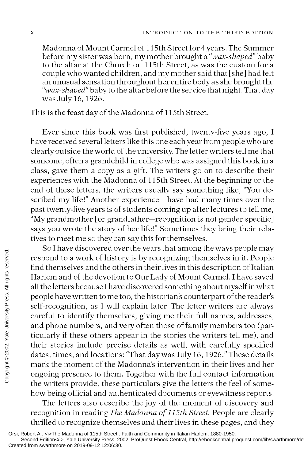Madonna of Mount Carmel of 115th Street for 4 years. The Summer before my sister was born, my mother brought a "wax-shaped" baby to the altar at the Church on 115th Street, as was the custom for a couple who wanted children, and my mother said that [she] had felt an unusual sensation throughout her entire body as she brought the *"wax-shaped" baby to the altar before the service that night. That day* was July 16, 1926.

This is the feast day of the Madonna of 115th Street.

Ever since this book was first published, twenty-five years ago, I have received several letters like this one each year from people who are clearly outside the world of the university. The letter writers tell me that someone, often a grandchild in college who was assigned this book in a class, gave them a copy as a gift. The writers go on to describe their experiences with the Madonna of 115th Street. At the beginning or the end of these letters, the writers usually say something like, "You described my life!" Another experience I have had many times over the past twenty-five years is of students coming up after lectures to tell me, "My grandmother [or grandfather—recognition is not gender specific] says you wrote the story of her life!" Sometimes they bring their relatives to meet me so they can say this for themselves.

So I have discovered over the years that among the ways people may respond to a work of history is by recognizing themselves in it. People find themselves and the others in their lives in this description of Italian Harlem and of the devotion to Our Lady of Mount Carmel. I have saved all the letters because I have discovered something about myself in what people have written to me too, the historian's counterpart of the reader's self-recognition, as I will explain later. The letter writers are always careful to identify themselves, giving me their full names, addresses, and phone numbers, and very often those of family members too (particularly if these others appear in the stories the writers tell me), and their stories include precise details as well, with carefully specified dates, times, and locations: "That day was July 16, 1926." These details mark the moment of the Madonna's intervention in their lives and her ongoing presence to them. Together with the full contact information the writers provide, these particulars give the letters the feel of somehow being official and authenticated documents or eyewitness reports. Example the distribution of the distribution of the developed  $\frac{1}{2}$  is all the letters because I have people have written to me the self-recognition, as I will careful to identify themse and phone numbers, and vicinar

The letters also describe the joy of the moment of discovery and recognition in reading *The Madonna of 115th Street.* People are clearly thrilled to recognize themselves and their lives in these pages, and they

Orsi, Robert A.. < i>The Madonna of 115th Street : Faith and Community in Italian Harlem, 1880-1950;

Second Edition</i>, Yale University Press, 2002. ProQuest Ebook Central, http://ebookcentral.proquest.com/lib/swarthmore/doc/<br>Created from swarthmore on 2019-09-12 12:06:30.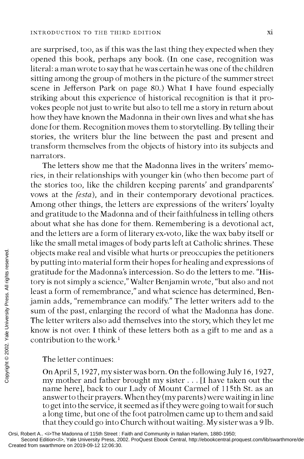are surprised, too, as if this was the last thing they expected when they opened this book, perhaps any book. (In one case, recognition was literal: a man wrote to say that he was certain he was one of the children sitting among the group of mothers in the picture of the summer street scene in Jefferson Park on page 80.) What I have found especially striking about this experience of historical recognition is that it provokes people not just to write but also to tell me a story in return about how they have known the Madonna in their own lives and what she has done for them. Recognition moves them to storytelling. By telling their stories, the writers blur the line between the past and present and transform themselves from the objects of history into its subjects and narrators.

The letters show me that the Madonna lives in the writers' memories, in their relationships with younger kin (who then become part of the stories too, like the children keeping parents' and grandparents vows at the *festa),* and in their contemporary devotional practices. Among other things, the letters are expressions of the writers' loyalty and gratitude to the Madonna and of their faithfulness in telling others about what she has done for them. Remembering is a devotional act, and the letters are a form of literary ex-voto, like the wax baby itself or like the small metal images of body parts left at Catholic shrines. These objects make real and visible what hurts or preoccupies the petitioners by putting into material form their hopes for healing and expressions of gratitude for the Madonna's intercession. So do the letters to me. "History is not simply a science," Walter Benjamin wrote, "but also and not least a form of remembrance," and what science has determined, Benjamin adds, "remembrance can modify." The letter writers add to the sum of the past, enlarging the record of what the Madonna has done. The letter writers also add themselves into the story, which they let me know is not over. I think of these letters both as a gift to me and as a contribution to the work.[1](#page-16-0) From the past of the Madonna of the Madonna tory is not simply a science<br>least a form of remembranc<br>ignin adds, "remembranc<br>sum of the past, enlarging<br>The letter writers also add<br>know is not over. I think contribution to

The letter continues:

On April 5, 1927, my sister was born. On the following July 16, 1927, my mother and father brought my sister .. . [I have taken out the name here], back to our Lady of Mount Carmel of 115th St. as an answer to their prayers. When they (my parents) were waiting in line to get into the service, it seemed as if they were going to wait for such a long time, but one of the foot patrolmen came up to them and said that they could go into Church without waiting. My sister was a 9 Ib.

Orsi, Robert A.. < i>The Madonna of 115th Street : Faith and Community in Italian Harlem, 1880-1950;

Second Edition</i>, Yale University Press, 2002. ProQuest Ebook Central, http://ebookcentral.proquest.com/lib/swarthmore/doc/<br>Created from swarthmore on 2019-09-12 12:06:30.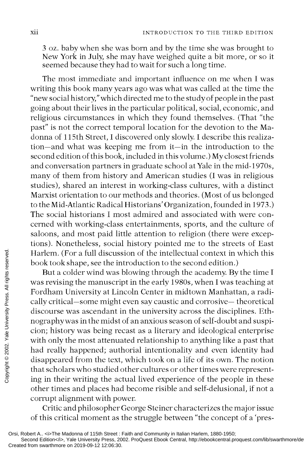3 oz. baby when she was born and by the time she was brought to New York in July, she may have weighed quite a bit more, or so it seemed because they had to wait for such a long time.

The most immediate and important influence on me when I was writing this book many years ago was what was called at the time the "new social history," which directed me to the study of people in the past going about their lives in the particular political, social, economic, and religious circumstances in which they found themselves. (That "the past" is not the correct temporal location for the devotion to the Madonna of 115th Street, I discovered only slowly. I describe this realization—and what was keeping me from it—in the introduction to the second edition of this book, included in this volume.) My closest friends and conversation partners in graduate school at Yale in the mid-1970s, many of them from history and American studies (I was in religious studies), shared an interest in working-class cultures, with a distinct Marxist orientation to our methods and theories. (Most of us belonged to the Mid-Atlantic Radical Historians' Organization, founded in 1973.) The social historians I most admired and associated with were concerned with working-class entertainments, sports, and the culture of saloons, and most paid little attention to religion (there were exceptions). Nonetheless, social history pointed me to the streets of East Harlem. (For a full discussion of the intellectual context in which this book took shape, see the introduction to the second edition.)

But a colder wind was blowing through the academy. By the time I was revising the manuscript in the early 1980s, when I was teaching at Fordham University at Lincoln Center in midtown Manhattan, a radically critical—some might even say caustic and corrosive— theoretical discourse was ascendant in the university across the disciplines. Ethnography was in the midst of an anxious season of self-doubt and suspicion; history was being recast as a literary and ideological enterprise with only the most attenuated relationship to anything like a past that had really happened; authorial intentionality and even identity had disappeared from the text, which took on a life of its own. The notion that scholars who studied other cultures or other times were representing in their writing the actual lived experience of the people in these other times and places had become risible and self-delusional, if not a corrupt alignment with power. For a full discuss<br>book took shape, see the in<br>grading the manuscrip<br>was revising the manuscrip<br>Fordham University at Lin<br>cally critical—some might<br>discourse was ascendant in<br>nography was in the midst<br>cion; history was be

Critic and philosopher George Steiner characterizes the major issue of this critical moment as the struggle between "the concept of a 'pres-

Orsi, Robert A.. < i>The Madonna of 115th Street : Faith and Community in Italian Harlem, 1880-1950;

Second Edition</i>, Yale University Press, 2002. ProQuest Ebook Central, http://ebookcentral.proquest.com/lib/swarthmore/doc/<br>Created from swarthmore on 2019-09-12 12:06:30.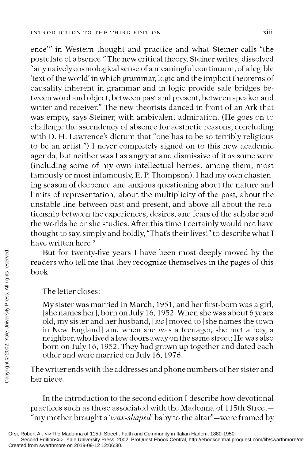ence'" in Western thought and practice and what Steiner calls "the postulate of absence." The new critical theory, Steiner writes, dissolved "any naively cosmological sense of a meaningful continuum, of a legible 'text of the world' in which grammar, logic and the implicit theorems of causality inherent in grammar and in logic provide safe bridges between word and object, between past and present, between speaker and writer and receiver." The new theorists danced in front of an Ark that was empty, says Steiner, with ambivalent admiration. (He goes on to challenge the ascendency of absence for aesthetic reasons, concluding with D. H. Lawrence's dictum that "one has to be so terribly religious to be an artist.") I never completely signed on to this new academic agenda, but neither was I as angry at and dismissive of it as some were (including some of my own intellectual heroes, among them, most famously or most infamously, E. P. Thompson). I had my own chastening season of deepened and anxious questioning about the nature and limits of representation, about the multiplicity of the past, about the unstable line between past and present, and above all about the relationship between the experiences, desires, and fears of the scholar and the worlds he or she studies. After this time I certainly would not have thought to say, simply and boldly, "That's their lives!" to describe what I have written here.<sup>[2](#page-16-0)</sup>

But for twenty-five years I have been most deeply moved by the readers who tell me that they recognize themselves in the pages of this book.

The letter closes:

My sister was married in March, 1951, and her first-born was a girl, [she names her], born on July 16, 1952. When she was about 6 years old, my sister and her husband, [sic] moved to [she names the town in New England] and when she was a teenager, she met a boy, a neighbor, who lived a few doors away on the same street; He was also born on July 16,1952. They had grown up together and dated each other and were married on July 16,1976. But for twenty-five year<br>
readers who tell me that the<br>
book.<br>
Free letter closes:<br>
My sister was married if<br>
[she names her], born cold, my sister and her h<br>
in New England] and<br>
neighbor, who lived a fe<br>
born on July 16

The writer ends with the addresses and phone numbers of her sister and her niece.

In the introduction to the second edition I describe how devotional practices such as those associated with the Madonna of 115th Street— "my mother brought a 'wax-shaped' baby to the altar"—were framed by

Orsi, Robert A.. < i>The Madonna of 115th Street : Faith and Community in Italian Harlem, 1880-1950;

Second Edition</i>, Yale University Press, 2002. ProQuest Ebook Central, http://ebookcentral.proquest.com/lib/swarthmore/doc/<br>Created from swarthmore on 2019-09-12 12:06:30.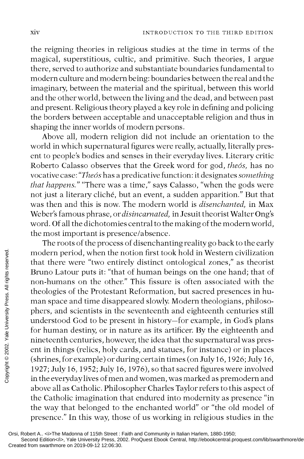the reigning theories in religious studies at the time in terms of the magical, superstitious, cultic, and primitive. Such theories, I argue there, served to authorize and substantiate boundaries fundamental to modern culture and modern being: boundaries between the real and the imaginary, between the material and the spiritual, between this world and the other world, between the living and the dead, and between past and present. Religious theory played a key role in defining and policing the borders between acceptable and unacceptable religion and thus in shaping the inner worlds of modern persons.

Above all, modern religion did not include an orientation to the world in which supernatural figures were really, actually, literally present to people's bodies and senses in their everyday lives. Literary critic Roberto Calasso observes that the Greek word for god, theos, has no vocative case: *"Theos* has a predicative function: it designates *something that happens."* "There was a time," says Calasso, "when the gods were not just a literary cliché, but an event, a sudden apparition." But that was then and this is now. The modern world is *disenchanted,* in Max Weber's famous phrase, or *disincamated,* in Jesuit theorist Walter Ong's word. Of all the dichotomies central to the making of the modern world, the most important is presence/absence.

The roots of the process of disenchanting reality go back to the early modern period, when the notion first took hold in Western civilization that there were "two entirely distinct ontological zones," as theorist Bruno Latour puts it: "that of human beings on the one hand; that of non-humans on the other." This fissure is often associated with the theologies of the Protestant Reformation, but sacred presences in human space and time disappeared slowly. Modern theologians, philosophers, and scientists in the seventeenth and eighteenth centuries still understood God to be present in history—for example, in God's plans for human destiny, or in nature as its artificer. By the eighteenth and nineteenth centuries, however, the idea that the supernatural was present in things (relics, holy cards, and statues, for instance) or in places (shrines, for example) or during certain times (on July 16,1926; July 16, 1927; July 16, 1952; July 16, 1976), so that sacred figures were involved in the everyday lives of men and women, was marked as premodern and above all as Catholic. Philosopher Charles Taylor refers to this aspect of the Catholic imagination that endured into modernity as presence "in the way that belonged to the enchanted world" or "the old model of presence." In this way, those of us working in religious studies in the From Sales and the transform of the theorem is a modern period, when the result of the process of the Protestar man space and time disapp phers, and scientists in the understood God to be press for human destiny, or in n

Orsi, Robert A.. < i>The Madonna of 115th Street : Faith and Community in Italian Harlem, 1880-1950;

Second Edition</i>, Yale University Press, 2002. ProQuest Ebook Central, http://ebookcentral.proquest.com/lib/swarthmore/doc/<br>Created from swarthmore on 2019-09-12 12:06:30.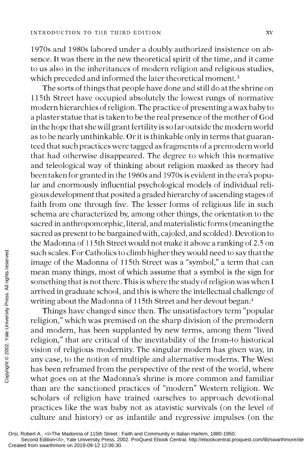1970s and 1980s labored under a doubly authorized insistence on absence. It was there in the new theoretical spirit of the time, and it came to us also in the inheritances of modern religion and religious studies, which preceded and informed the later theoretical moment.<sup>[3](#page-16-0)</sup>

The sorts of things that people have done and still do at the shrine on 115th Street have occupied absolutely the lowest rungs of normative modern hierarchies of religion. The practice of presenting a wax baby to a plaster statue that is taken to be the real presence of the mother of God in the hope that she will grant fertility is so far outside the modern world as to be nearly unthinkable. Or it is thinkable only in terms that guaranteed that such practices were tagged as fragments of a premodern world that had otherwise disappeared. The degree to which this normative and teleological way of thinking about religion masked as theory had been taken for granted in the 1960s and 1970s is evident in the era's popular and enormously influential psychological models of individual religious development that posited a graded hierarchy of ascending stages of faith from one through five. The lesser forms of religious life in such schema are characterized by, among other things, the orientation to the sacred in anthropomorphic, literal, and materialistic forms (meaning the sacred as present to be bargained with, cajoled, and scolded). Devotion to the Madonna of 115th Street would not make it above a ranking of 2.5 on such scales. For Catholics to climb higher they would need to say that the image of the Madonna of 115th Street was a "symbol," a term that can mean many things, most of which assume that a symbol is the sign for something that is not there. This is where the study of religion was when I arrived in graduate school, and this is where the intellectual challenge of writing about the Madonna of 115th Street and her devout began.[4](#page-16-0)

Things have changed since then. The unsatisfactory term "popular religion," which was premised on the sharp division of the premodern and modern, has been supplanted by new terms, among them "lived religion," that are critical of the inevitability of the from-to historical vision of religious modernity. The singular modern has given way, in any case, to the notion of multiple and alternative moderns. The West has been reframed from the perspective of the rest of the world, where what goes on at the Madonna's shrine is more common and familiar than are the sanctioned practices of "modern" Western religion. We scholars of religion have trained ourselves to approach devotional practices like the wax baby not as atavistic survivals (on the level of culture and history) or as infantile and regressive impulses (on the Solution scales. For Catholics to<br>
image of the Madonna of 1<br>
mean many things, most of<br>
something that is not there.<br>
arrived in graduate school,<br>
writing about the Madonna<br>
Things have changed s<br>
religion," which was pr

Orsi, Robert A.. < i>The Madonna of 115th Street : Faith and Community in Italian Harlem, 1880-1950;

Second Edition</i>, Yale University Press, 2002. ProQuest Ebook Central, http://ebookcentral.proquest.com/lib/swarthmore/doc/<br>Created from swarthmore on 2019-09-12 12:06:30.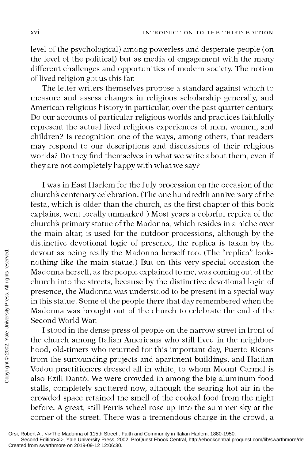level of the psychological) among powerless and desperate people (on the level of the political) but as media of engagement with the many different challenges and opportunities of modern society. The notion of lived religion got us this far.

The letter writers themselves propose a standard against which to measure and assess changes in religious scholarship generally, and American religious history in particular, over the past quarter century. Do our accounts of particular religious worlds and practices faithfully represent the actual lived religious experiences of men, women, and children? Is recognition one of the ways, among others, that readers may respond to our descriptions and discussions of their religious worlds? Do they find themselves in what we write about them, even if they are not completely happy with what we say?

I was in East Harlem for the July procession on the occasion of the church's centenary celebration. (The one hundredth anniversary of the festa, which is older than the church, as the first chapter of this book explains, went locally unmarked.) Most years a colorful replica of the church's primary statue of the Madonna, which resides in a niche over the main altar, is used for the outdoor processions, although by the distinctive devotional logic of presence, the replica is taken by the devout as being really the Madonna herself too. (The "replica" looks nothing like the main statue.) But on this very special occasion the Madonna herself, as the people explained to me, was coming out of the church into the streets, because by the distinctive devotional logic of presence, the Madonna was understood to be present in a special way in this statue. Some of the people there that day remembered when the Madonna was brought out of the church to celebrate the end of the Second World War.

I stood in the dense press of people on the narrow street in front of the church among Italian Americans who still lived in the neighborhood, old-timers who returned for this important day, Puerto Ricans from the surrounding projects and apartment buildings, and Haitian Vodou practitioners dressed all in white, to whom Mount Carmel is also Ezili Dantò. We were crowded in among the big aluminum food stalls, completely shuttered now, although the searing hot air in the crowded space retained the smell of the cooked food from the night before. A great, still Ferris wheel rose up into the summer sky at the corner of the street. There was a tremendous charge in the crowd, a Example 12:00 and the street of the street of the street or the street of the Madonna was brought our Second World War. I stood in the dense press. The Madonna was brought our Second World War. I stood in the dense pre the

Orsi, Robert A.. < i>The Madonna of 115th Street : Faith and Community in Italian Harlem, 1880-1950;

Second Edition</i>, Yale University Press, 2002. ProQuest Ebook Central, http://ebookcentral.proquest.com/lib/swarthmore/doc/<br>Created from swarthmore on 2019-09-12 12:06:30.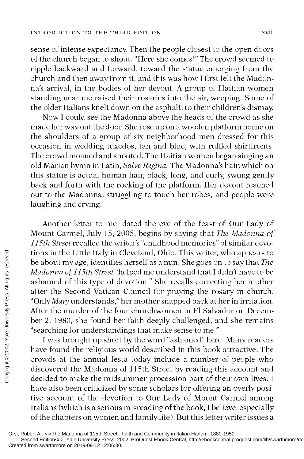sense of intense expectancy. Then the people closest to the open doors of the church began to shout. "Here she comes!" The crowd seemed to ripple backward and forward, toward the statue emerging from the church and then away from it, and this was how I first felt the Madonna's arrival, in the bodies of her devout. A group of Haitian women standing near me raised their rosaries into the air, weeping. Some of the older Italians knelt down on the asphalt, to their children's dismay.

Now I could see the Madonna above the heads of the crowd as she made her way out the door. She rose up on a wooden platform borne on the shoulders of a group of six neighborhood men dressed for this occasion in wedding tuxedos, tan and blue, with ruffled shirtfronts. The crowd moaned and shouted. The Haitian women began singing an old Marian hymn in Latin, *Salve Regina.* The Madonna's hair, which on this statue is actual human hair, black, long, and curly, swung gently back and forth with the rocking of the platform. Her devout reached out to the Madonna, struggling to touch her robes, and people were laughing and crying.

Another letter to me, dated the eve of the feast of Our Lady of Mount Carmel, July 15, 2005, begins by saying that *The Madonna of 115th Street* recalled the writer's "childhood memories" of similar devotions in the Little Italy in Cleveland, Ohio. This writer, who appears to be about my age, identifies herself as a nun. She goes on to say that *The Madonna of 115th Street* "helped me understand that I didn't have to be ashamed of this type of devotion." She recalls correcting her mother after the Second Vatican Council for praying the rosary in church. "Only *Mary* understands," her mother snapped back at her in irritation. After the murder of the four churchwomen in El Salvador on December 2, 1980, she found her faith deeply challenged, and she remains "searching for understandings that make sense to me."

I was brought up short by the word "ashamed" here. Many readers have found the religious world described in this book attractive. The crowds at the annual festa today include a number of people who discovered the Madonna of 115th Street by reading this account and decided to make the midsummer procession part of their own lives. I have also been criticized by some scholars for offering an overly positive account of the devotion to Our Lady of Mount Carmel among Italians (which is a serious misreading of the book, I believe, especially of the chapters on women and family life). But this letter writer issues a Example 12:11 all reserved.<br>
Example 2019-09-12:16:20<br>
Exampled from this type of data fter the Second Vatican<br>
"Only *Mary* understands," After the murder of the form ber 2, 1980, she found he<br>
"searching for understands

Orsi, Robert A.. <i>The Madonna of 115th Street : Faith and Community in Italian Harlem, 1880-1950;

Second Edition</i>, Yale University Press, 2002. ProQuest Ebook Central, http://ebookcentral.proquest.com/lib/swarthmore/doc/<br>Created from swarthmore on 2019-09-12 12:06:30.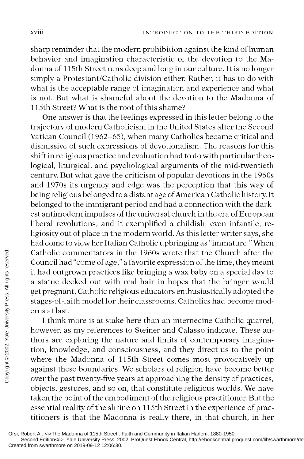sharp reminder that the modern prohibition against the kind of human behavior and imagination characteristic of the devotion to the Madonna of 115th Street runs deep and long in our culture. It is no longer simply a Protestant/Catholic division either. Rather, it has to do with what is the acceptable range of imagination and experience and what is not. But what is shameful about the devotion to the Madonna of 115th Street? What is the root of this shame?

One answer is that the feelings expressed in this letter belong to the trajectory of modern Catholicism in the United States after the Second Vatican Council (1962-65), when many Catholics became critical and dismissive of such expressions of devotionalism. The reasons for this shift in religious practice and evaluation had to do with particular theological, liturgical, and psychological arguments of the mid-twentieth century. But what gave the criticism of popular devotions in the 1960s and 1970s its urgency and edge was the perception that this way of being religious belonged to a distant age of American Catholic history. It belonged to the immigrant period and had a connection with the darkest antimodern impulses of the universal church in the era of European liberal revolutions, and it exemplified a childish, even infantile, religiosity out of place in the modern world. As this letter writer says, she had come to view her Italian Catholic upbringing as "immature." When Catholic commentators in the 1960s wrote that the Church after the Council had "come of age," a favorite expression of the time, they meant it had outgrown practices like bringing a wax baby on a special day to a statue decked out with real hair in hopes that the bringer would get pregnant. Catholic religious educators enthusiastically adopted the stages-of-faith model for their classrooms. Catholics had become moderns at last.

I think more is at stake here than an internecine Catholic quarrel, however, as my references to Steiner and Calasso indicate. These authors are exploring the nature and limits of contemporary imagination, knowledge, and consciousness, and they direct us to the point where the Madonna of 115th Street comes most provocatively up against these boundaries. We scholars of religion have become better over the past twenty-five years at approaching the density of practices, objects, gestures, and so on, that constitute religious worlds. We have taken the point of the embodiment of the religious practitioner. But the essential reality of the shrine on 115th Street in the experience of practitioners is that the Madonna is really there, in that church, in her Catholic commentators in<br>
Council had "come of age,"<br>
it had outgrown practices<br>
a statue decked out with<br>
get pregnant. Catholic relig<br>
stages-of-faith model for the<br>
erns at last.<br>
I think more is at stake<br>
however, as

Orsi, Robert A.. <i>The Madonna of 115th Street : Faith and Community in Italian Harlem, 1880-1950;

Second Edition</i>, Yale University Press, 2002. ProQuest Ebook Central, http://ebookcentral.proquest.com/lib/swarthmore/doc/<br>Created from swarthmore on 2019-09-12 12:06:30.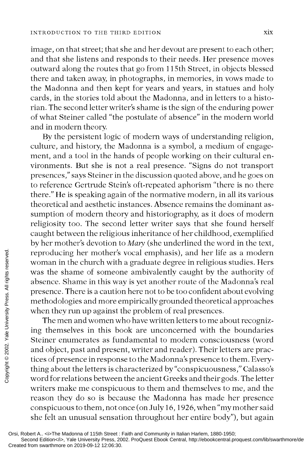image, on that street; that she and her devout are present to each other; and that she listens and responds to their needs. Her presence moves outward along the routes that go from 115th Street, in objects blessed there and taken away, in photographs, in memories, in vows made to the Madonna and then kept for years and years, in statues and holy cards, in the stories told about the Madonna, and in letters to a historian. The second letter writer's shame is the sign of the enduring power of what Steiner called "the postulate of absence" in the modern world and in modern theory.

By the persistent logic of modern ways of understanding religion, culture, and history, the Madonna is a symbol, a medium of engagement, and a tool in the hands of people working on their cultural environments. But she is not a real presence. "Signs do not transport presences," says Steiner in the discussion quoted above, and he goes on to reference Gertrude Stein's oft-repeated aphorism "there is no there there." He is speaking again of the normative modern, in all its various theoretical and aesthetic instances. Absence remains the dominant assumption of modern theory and historiography, as it does of modern religiosity too. The second letter writer says that she found herself caught between the religious inheritance of her childhood, exemplified by her mother's devotion to *Mary* (she underlined the word in the text, reproducing her mother's vocal emphasis), and her life as a modern woman in the church with a graduate degree in religious studies. Hers was the shame of someone ambivalently caught by the authority of absence. Shame in this way is yet another route of the Madonna's real presence. There is a caution here not to be too confident about evolving methodologies and more empirically grounded theoretical approaches when they run up against the problem of real presences.

The men and women who have written letters to me about recognizing themselves in this book are unconcerned with the boundaries Steiner enumerates as fundamental to modern consciousness (word and object, past and present, writer and reader). Their letters are practices of presence in response to the Madonna's presence to them. Everything about the letters is characterized by "conspicuousness," Calasso's word for relations between the ancient Greeks and their gods. The letter writers make me conspicuous to them and themselves to me, and the reason they do so is because the Madonna has made her presence conspicuous to them, not once (on July 16,1926, when "my mother said she felt an unusual sensation throughout her entire body"), but again Example the swarthmore on 2019-09-12 12:06:30. Created from swarthmore on 2019-09-12 12:06:30. Created from swarthmore on 2019-09-12 12:06:30. Created from swarthmore on 2019-09-12 12:06:30. Created from swarthmore on 201

Orsi, Robert A.. <i>The Madonna of 115th Street : Faith and Community in Italian Harlem, 1880-1950;

Second Edition</i>, Yale University Press, 2002. ProQuest Ebook Central, http://ebookcentral.proquest.com/lib/swarthmore/doc/<br>Created from swarthmore on 2019-09-12 12:06:30.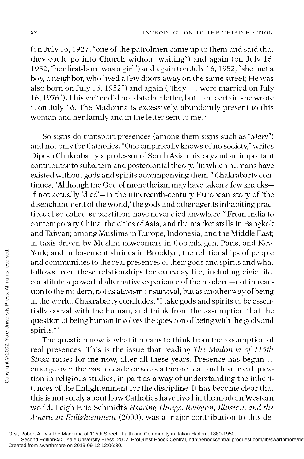(on July 16, 1927, "one of the patrolmen came up to them and said that they could go into Church without waiting") and again (on July 16, 1952, "her first-born was a girl") and again (on July 16, 1952, "she met a boy, a neighbor, who lived a few doors away on the same street; He was also born on July 16, 1952") and again ("they . .. were married on July 16,1976"). This writer did not date her letter, but I am certain she wrote it on July 16. The Madonna is excessively, abundantly present to this woman and her family and in the letter sent to me.[5](#page-17-0)

So signs do transport presences (among them signs such as *"Mary")* and not only for Catholics. "One empirically knows of no society," writes Dipesh Chakrabarty a professor of South Asian history and an important contributor to subaltern and postcolonial theory, "in which humans have existed without gods and spirits accompanying them." Chakrabarty continues, "Although the God of monotheism may have taken a few knocks if not actually 'died'—in the nineteenth-century European story of 'the disenchantment of the world,' the gods and other agents inhabiting practices of so-called 'superstition' have never died anywhere." From India to contemporary China, the cities of Asia, and the market stalls in Bangkok and Taiwan; among Muslims in Europe, Indonesia, and the Middle East; in taxis driven by Muslim newcomers in Copenhagen, Paris, and New York; and in basement shrines in Brooklyn, the relationships of people and communities to the real presences of their gods and spirits and what follows from these relationships for everyday life, including civic life, constitute a powerful alternative experience of the modern—not in reaction to the modern, not as atavism or survival, but as another way of being in the world. Chakrabarty concludes, "I take gods and spirits to be essentially coeval with the human, and think from the assumption that the question of being human involves the question of being with the gods and spirits."[6](#page-17-0)

The question now is what it means to think from the assumption of real presences. This is the issue that reading *The Madonna of 115th Street* raises for me now, after all these years. Presence has begun to emerge over the past decade or so as a theoretical and historical question in religious studies, in part as a way of understanding the inheritances of the Enlightenment for the discipline. It has become clear that this is not solely about how Catholics have lived in the modern Western world. Leigh Eric Schmidt's *Hearing Things: Religion, Illusion, and the American Enlightenment* (2000), was a major contribution to this de-From Section to the modern, not as at in the world. Chakrabarty can see the modern, not as at in the world. Chakrabarty call in the world. Chakrabarty call in the world. Chakrabarty call in question of being human in spir

Orsi, Robert A.. <i>The Madonna of 115th Street : Faith and Community in Italian Harlem, 1880-1950;

Second Edition</i>, Yale University Press, 2002. ProQuest Ebook Central, http://ebookcentral.proquest.com/lib/swarthmore/doc/<br>Created from swarthmore on 2019-09-12 12:06:30.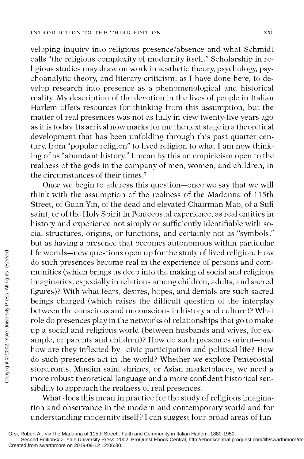veloping inquiry into religious presence/absence and what Schmidt calls "the religious complexity of modernity itself." Scholarship in religious studies may draw on work in aesthetic theory, psychology, psy choanalytic theory, and literary criticism, as I have done here, to develop research into presence as a phenomenological and historical reality. My description of the devotion in the lives of people in Italian Harlem offers resources for thinking from this assumption, but the matter of real presences was not as fully in view twenty-five years ago as it is today. Its arrival now marks for me the next stage in a theoretical development that has been unfolding through this past quarter century, from "popular religion" to lived religion to what I am now thinking of as "abundant history." I mean by this an empiricism open to the realness of the gods in the company of men, women, and children, in the circumstances of their times.[7](#page-17-0)

Once we begin to address this question—once we say that we will think with the assumption of the realness of the Madonna of 115th Street, of Guan Yin, of the dead and elevated Chairman Mao, of a Sufi saint, or of the Holy Spirit in Pentecostal experience, as real entities in history and experience not simply or sufficiently identifiable with social structures, origins, or functions, and certainly not as "symbols," but as having a presence that becomes autonomous within particular life worlds—new questions open up for the study of lived religion. How do such presences become real in the experience of persons and communities (which brings us deep into the making of social and religious imaginaries, especially in relations among children, adults, and sacred figures)? With what fears, desires, hopes, and denials are such sacred beings charged (which raises the difficult question of the interplay between the conscious and unconscious in history and culture)? What role do presences play in the networks of relationships that go to make up a social and religious world (between husbands and wives, for example, or parents and children)? How do such presences orient—and how are they inflected by—civic participation and political life? How do such presences act in the world? Whether we explore Pentecostal storefronts, Muslim saint shrines, or Asian marketplaces, we need a more robust theoretical language and a more confident historical sensibility to approach the realness of real presences. The worlds—new questions<br>
do such presences become<br>
munities (which brings us<br>
imaginaries, especially in r<br>
figures)? With what fears,<br>
beings charged (which ra<br>
between the conscious and<br>
role do presences play in th<br>
u

What does this mean in practice for the study of religious imagination and observance in the modern and contemporary world and for understanding modernity itself? I can suggest four broad areas of fun-

Orsi, Robert A.. < i>The Madonna of 115th Street : Faith and Community in Italian Harlem, 1880-1950;

Second Edition</i>, Yale University Press, 2002. ProQuest Ebook Central, http://ebookcentral.proquest.com/lib/swarthmore/doc/<br>Created from swarthmore on 2019-09-12 12:06:30.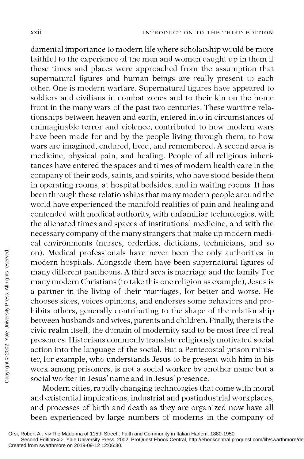damental importance to modern life where scholarship would be more faithful to the experience of the men and women caught up in them if these times and places were approached from the assumption that supernatural figures and human beings are really present to each other. One is modern warfare. Supernatural figures have appeared to soldiers and civilians in combat zones and to their kin on the home front in the many wars of the past two centuries. These wartime relationships between heaven and earth, entered into in circumstances of unimaginable terror and violence, contributed to how modern wars have been made for and by the people living through them, to how wars are imagined, endured, lived, and remembered. A second area is medicine, physical pain, and healing. People of all religious inheritances have entered the spaces and times of modern health care in the company of their gods, saints, and spirits, who have stood beside them in operating rooms, at hospital bedsides, and in waiting rooms. It has been through these relationships that many modern people around the world have experienced the manifold realities of pain and healing and contended with medical authority, with unfamiliar technologies, with the alienated times and spaces of institutional medicine, and with the necessary company of the many strangers that make up modern medical environments (nurses, orderlies, dieticians, technicians, and so on). Medical professionals have never been the only authorities in modern hospitals. Alongside them have been supernatural figures of many different pantheons. A third area is marriage and the family. For many modern Christians (to take this one religion as example), Jesus is a partner in the living of their marriages, for better and worse. He chooses sides, voices opinions, and endorses some behaviors and prohibits others, generally contributing to the shape of the relationship between husbands and wives, parents and children. Finally, there is the civic realm itself, the domain of modernity said to be most free of real presences. Historians commonly translate religiously motivated social action into the language of the social. But a Pentecostal prison minister, for example, who understands Jesus to be present with him in his work among prisoners, is not a social worker by another name but a social worker in Jesus' name and in Jesus' presence. From Summary different pantheons.<br>
Example the paramodern christians (a partner in the living of chooses sides, voices opini<br>
in this others, generally concerned.<br>
From the living of the domas<br>
presences. Historians compa

Modern cities, rapidly changing technologies that come with moral and existential implications, industrial and postindustrial workplaces, and processes of birth and death as they are organized now have all been experienced by large numbers of moderns in the company of

Orsi, Robert A.. < i>The Madonna of 115th Street : Faith and Community in Italian Harlem, 1880-1950;

Second Edition</i>, Yale University Press, 2002. ProQuest Ebook Central, http://ebookcentral.proquest.com/lib/swarthmore/doc/<br>Created from swarthmore on 2019-09-12 12:06:30.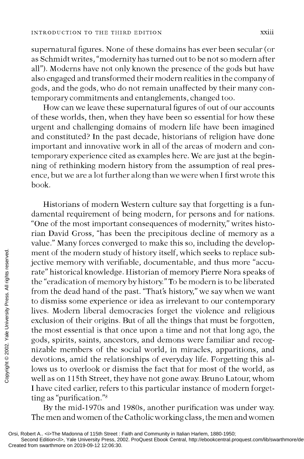supernatural figures. None of these domains has ever been secular (or as Schmidt writes, "modernity has turned out to be not so modern after all"). Moderns have not only known the presence of the gods but have also engaged and transformed their modern realities in the company of gods, and the gods, who do not remain unaffected by their many contemporary commitments and entanglements, changed too.

How can we leave these supernatural figures of out of our accounts of these worlds, then, when they have been so essential for how these urgent and challenging domains of modern life have been imagined and constituted? In the past decade, historians of religion have done important and innovative work in all of the areas of modern and contemporary experience cited as examples here. We are just at the beginning of rethinking modern history from the assumption of real presence, but we are a lot further along than we were when I first wrote this book.

Historians of modern Western culture say that forgetting is a fundamental requirement of being modern, for persons and for nations. "One of the most important consequences of modernity," writes historian David Gross, "has been the precipitous decline of memory as a value." Many forces converged to make this so, including the development of the modern study of history itself, which seeks to replace subjective memory with verifiable, documentable, and thus more "accurate" historical knowledge. Historian of memory Pierre Nora speaks of the "eradication of memory by history." To be modern is to be liberated from the dead hand of the past. "That's history," we say when we want to dismiss some experience or idea as irrelevant to our contemporary lives. Modern liberal democracies forget the violence and religious exclusion of their origins. But of all the things that must be forgotten, the most essential is that once upon a time and not that long ago, the gods, spirits, saints, ancestors, and demons were familiar and recognizable members of the social world, in miracles, apparitions, and devotions, amid the relationships of everyday life. Forgetting this allows us to overlook or dismiss the fact that for most of the world, as well as on 115th Street, they have not gone away. Bruno Latour, whom I have cited earlier, refers to this particular instance of modern forgetting as "purification."[8](#page-17-0) Example 12:00 ment of the modern study<br>igentive memory with veriff<br>rate" historical knowledge<br>the "eradication of memor<br>from the dead hand of the<br>to dismiss some experienc<br>lives. Modern liberal den<br>exclusion of their orig

By the mid-1970s and 1980s, another purification was under way. The men and women of the Catholic working class, the men and women

Orsi, Robert A.. < i>The Madonna of 115th Street : Faith and Community in Italian Harlem, 1880-1950;

Second Edition</i>, Yale University Press, 2002. ProQuest Ebook Central, http://ebookcentral.proquest.com/lib/swarthmore/doc/<br>Created from swarthmore on 2019-09-12 12:06:30.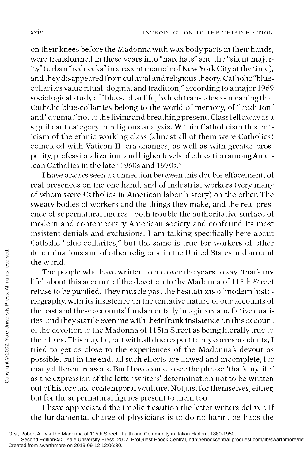on their knees before the Madonna with wax body parts in their hands, were transformed in these years into "hardhats" and the "silent majority" (urban "rednecks" in a recent memoir of New York City at the time), and they disappeared from cultural and religious theory. Catholic "bluecollarites value ritual, dogma, and tradition," according to a major 1969 sociological study of "blue-collar life,"which translates as meaning that Catholic blue-collarites belong to the world of memory, of "tradition" and "dogma," not to the living and breathing present. Class fell away as a significant category in religious analysis. Within Catholicism this criticism of the ethnic working class (almost all of them were Catholics) coincided with Vatican II-era changes, as well as with greater prosperity, professionalization, and higher levels of education among Amer-ican Catholics in the later 1[9](#page-17-0)60s and 1970s.<sup>9</sup>

I have always seen a connection between this double effacement, of real presences on the one hand, and of industrial workers (very many of whom were Catholics in American labor history) on the other. The sweaty bodies of workers and the things they make, and the real presence of supernatural figures—both trouble the authoritative surface of modern and contemporary American society and confound its most insistent denials and exclusions. I am talking specifically here about Catholic "blue-collarites," but the same is true for workers of other denominations and of other religions, in the United States and around the world.

The people who have written to me over the years to say "that's my life" about this account of the devotion to the Madonna of 115th Street refuse to be purified. They muscle past the hesitations of modern historiography, with its insistence on the tentative nature of our accounts of the past and these accounts' fundamentally imaginary and fictive qualities, and they startle even me with their frank insistence on this account of the devotion to the Madonna of 115th Street as being literally true to their lives. This may be, but with all due respect to my correspondents, I tried to get as close to the experiences of the Madonna's devout as possible, but in the end, all such efforts are flawed and incomplete, for many different reasons. But I have come to see the phrase "that's my life" as the expression of the letter writers' determination not to be written out of history and contemporary culture. Not just for themselves, either, but for the supernatural figures present to them too. Example 1 and the world.<br>
The people who have we life" about this account of refuse to be purified. They riography, with its insisten the past and these accounts ties, and they startle even m of the devotion to the Madd t

I have appreciated the implicit caution the letter writers deliver. If the fundamental charge of physicians is to do no harm, perhaps the

Second Edition</i>, Yale University Press, 2002. ProQuest Ebook Central, http://ebookcentral.proquest.com/lib/swarthmore/doc/<br>Created from swarthmore on 2019-09-12 12:06:30.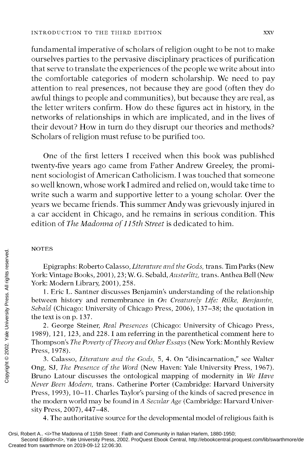<span id="page-16-0"></span>fundamental imperative of scholars of religion ought to be not to make ourselves parties to the pervasive disciplinary practices of purification that serve to translate the experiences of the people we write about into the comfortable categories of modern scholarship. We need to pay attention to real presences, not because they are good (often they do awful things to people and communities), but because they are real, as the letter writers confirm. How do these figures act in history, in the networks of relationships in which are implicated, and in the lives of their devout? How in turn do they disrupt our theories and methods? Scholars of religion must refuse to be purified too.

One of the first letters I received when this book was published twenty-five years ago came from Father Andrew Greeley the prominent sociologist of American Catholicism. I was touched that someone so well known, whose work I admired and relied on, would take time to write such a warm and supportive letter to a young scholar. Over the years we became friends. This summer Andy was grievously injured in a car accident in Chicago, and he remains in serious condition. This edition of *The Madonna of 115th Street* is dedicated to him.

## **NOTES**

Epigraphs: Roberto Calasso, *Literature and the Gods,* trans. Tim Parks (New York: Vintage Books, 2001), 23; W. G. Sebald, *Austerlitz,* trans. Anthea Bell (New York: Modern Library, 2001), 258.

1. Eric L. Santner discusses Benjamin's understanding of the relationship between history and remembrance in *On Creaturely Life: Rilke, Benjamin, Sebald* (Chicago: University of Chicago Press, 2006), 137-38; the quotation in the text is on p. 137.

2. George Steiner, *Real Presences* (Chicago: University of Chicago Press, 1989), 121, 123, and 228.1 am referring in the parenthetical comment here to Thompson's *The Poverty of Theory and Other Essays* (New York: Monthly Review Press, 1978).

3. Calasso, *Literature and the Gods,* 5, 4. On "disincarnation," see Walter Ong, SJ, *The Presence of the Word* (New Haven: Yale University Press, 1967). Bruno Latour discusses the ontological mapping of modernity in *We Have Never Been Modem,* trans. Catherine Porter (Cambridge: Harvard University Press, 1993), 10-11. Charles Taylor's parsing of the kinds of sacred presence in the modern world may be found in *A Secular Age* (Cambridge: Harvard University Press, 2007), 447-48. Examples From Section Section Section Section Section Section Section Section Section Section Section Section Section Section 2019-09-12 12:06:30. Copyright Copyright Copyright Copyright Copyright Copyright Copyright Copy

4. The authoritative source for the developmental model of religious faith is

Orsi, Robert A.. <i>The Madonna of 115th Street : Faith and Community in Italian Harlem, 1880-1950;

Second Edition</i>, Yale University Press, 2002. ProQuest Ebook Central, http://ebookcentral.proquest.com/lib/swarthmore/doc/<br>Created from swarthmore on 2019-09-12 12:06:30.